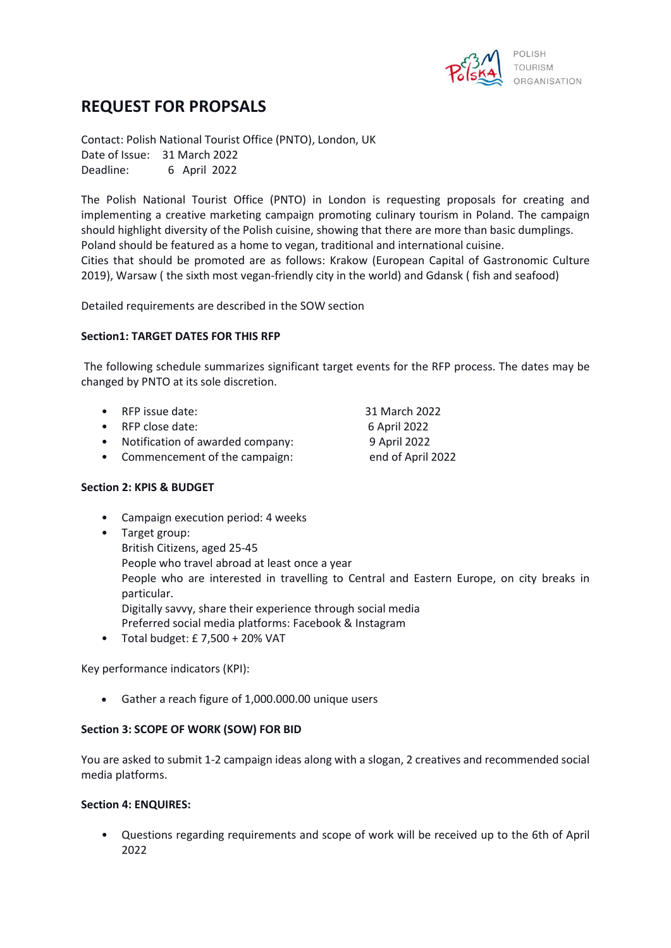

# **REQUEST FOR PROPSALS**

Contact: Polish National Tourist Office (PNTO), London, UK Date of Issue: 31 March 2022 Deadline: 6 April 2022

The Polish National Tourist Office (PNTO) in London is requesting proposals for creating and implementing a creative marketing campaign promoting culinary tourism in Poland. The campaign should highlight diversity of the Polish cuisine, showing that there are more than basic dumplings. Poland should be featured as a home to vegan, traditional and international cuisine. Cities that should be promoted are as follows: Krakow (European Capital of Gastronomic Culture 2019), Warsaw ( the sixth most vegan-friendly city in the world) and Gdansk ( fish and seafood)

Detailed requirements are described in the SOW section

## **Section1: TARGET DATES FOR THIS RFP**

The following schedule summarizes significant target events for the RFP process. The dates may be changed by PNTO at its sole discretion.

- RFP issue date: 31 March 2022
- RFP close date: 6 April 2022
- Notification of awarded company: 9 April 2022

• Commencement of the campaign: end of April 2022

## **Section 2: KPIS & BUDGET**

- Campaign execution period: 4 weeks
- Target group: British Citizens, aged 25-45 People who travel abroad at least once a year People who are interested in travelling to Central and Eastern Europe, on city breaks in particular. Digitally savvy, share their experience through social media Preferred social media platforms: Facebook & Instagram
- Total budget: £ 7,500 + 20% VAT

Key performance indicators (KPI):

• Gather a reach figure of 1,000.000.00 unique users

#### **Section 3: SCOPE OF WORK (SOW) FOR BID**

You are asked to submit 1-2 campaign ideas along with a slogan, 2 creatives and recommended social media platforms.

#### **Section 4: ENQUIRES:**

• Questions regarding requirements and scope of work will be received up to the 6th of April 2022